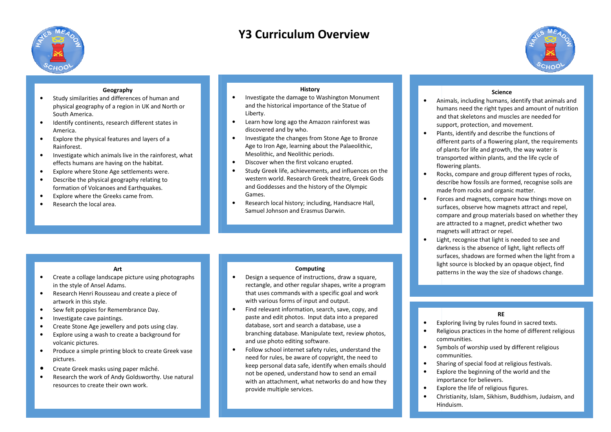

# **Y3 Curriculum Overview**



# **Geography**

- • Study similarities and differences of human and physical geography of a region in UK and North or South America.
- • Identify continents, research different states in America.
- • Explore the physical features and layers of a Rainforest.
- • Investigate which animals live in the rainforest, what effects humans are having on the habitat.
- •Explore where Stone Age settlements were.
- • Describe the physical geography relating to formation of Volcanoes and Earthquakes.
- •Explore where the Greeks came from.
- •Research the local area.

# **History**

- • Investigate the damage to Washington Monument and the historical importance of the Statue of Liberty.
- • Learn how long ago the Amazon rainforest was discovered and by who.
- • Investigate the changes from Stone Age to Bronze Age to Iron Age, learning about the Palaeolithic, Mesolithic, and Neolithic periods.
- •Discover when the first volcano erupted.
- • Study Greek life, achievements, and influences on the western world. Research Greek theatre, Greek Gods and Goddesses and the history of the Olympic Games.
- • Research local history; including, Handsacre Hall, Samuel Johnson and Erasmus Darwin.

# **Art**

- • Create a collage landscape picture using photographs in the style of Ansel Adams.
- Research Henri Rousseau and create a piece of •artwork in this style.
- •Sew felt poppies for Remembrance Day.
- •Investigate cave paintings.
- •Create Stone Age jewellery and pots using clay.
- • Explore using a wash to create a background for volcanic pictures.
- $\bullet$  Produce a simple printing block to create Greek vase pictures.
- •Create Greek masks using paper mâché.
- • Research the work of Andy Goldsworthy. Use natural resources to create their own work.

- • Design a sequence of instructions, draw a square, rectangle, and other regular shapes, write a program that uses commands with a specific goal and work with various forms of input and output.
- Find relevant information, search, save, copy, and •paste and edit photos. Input data into a prepared database, sort and search a database, use a branching database. Manipulate text, review photos,and use photo editing software.
- • Follow school internet safety rules, understand the need for rules, be aware of copyright, the need to keep personal data safe, identify when emails should not be opened, understand how to send an email with an attachment, what networks do and how they provide multiple services.

# **Science**

- $\bullet$  Animals, including humans, identify that animals and humans need the right types and amount of nutritionand that skeletons and muscles are needed for support, protection, and movement.
- • Plants, identify and describe the functions of different parts of a flowering plant, the requirements of plants for life and growth, the way water is transported within plants, and the life cycle of flowering plants. humans need the right types and amount of nutrition<br>and that skeletons and muscles are needed for<br>support, protection, and movement.<br>Plants, identify and describe the functions of<br>different parts of a flowering plant, the
- •Rocks, compare and group different types of rocks, describe how fossils are formed, recognise soils are made from rocks and organic matter.
- • Forces and magnets, compare how things move on surfaces, observe how magnets attract and repel, compare and group materials based on whether they are attracted to a magnet, predict whether two magnets will attract or repel.describe how fossils are formed, recognise soils are<br>made from rocks and organic matter.<br>Forces and magnets, compare how things move on<br>surfaces, observe how magnets attract and repel,<br>compare and group materials based on
- • Light, recognise that light is needed to see and darkness is the absence of light, light reflects off surfaces, shadows are formed when the light from a light source is blocked by an opaque object, find **Computing**<br> **Example 1 Computing in the way the size of shadows change.** e that light is needed to see and<br>e absence of light, light reflects off<br>ows are formed when the light fro<br>blocked by an opaque object, find

# **RE**

- •Exploring living by rules found in sacred texts.
- •• Exploring living by rules found in sacred texts.<br>• Religious practices in the home of different religious communities.
- • Symbols of worship used by different religious communities.
- •Sharing of special food at religious festivals.
- • Explore the beginning of the world and the importance for believers. i of worship used by differe<br>nities.<br>of special food at religious f<br>the beginning of the world<br>nce for believers.<br>the life of religious figures.
- •Explore the life of religio
- Christianity, Islam, Sikhism, Buddhism, Judaism, and •Hinduism.